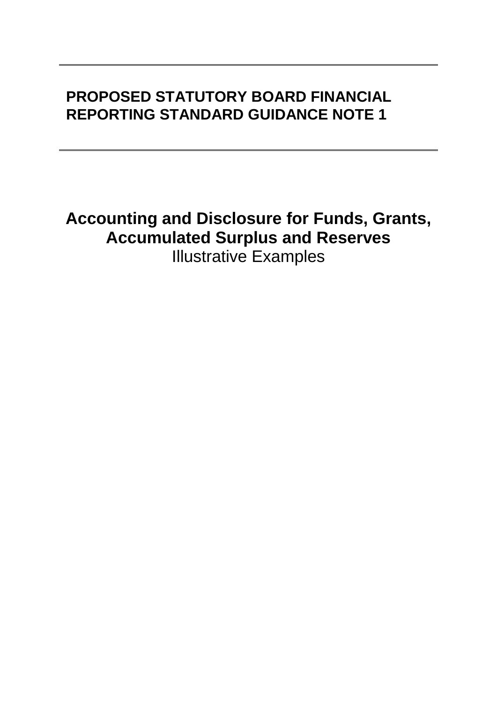# **PROPOSED STATUTORY BOARD FINANCIAL REPORTING STANDARD GUIDANCE NOTE 1**

**Accounting and Disclosure for Funds, Grants, Accumulated Surplus and Reserves** Illustrative Examples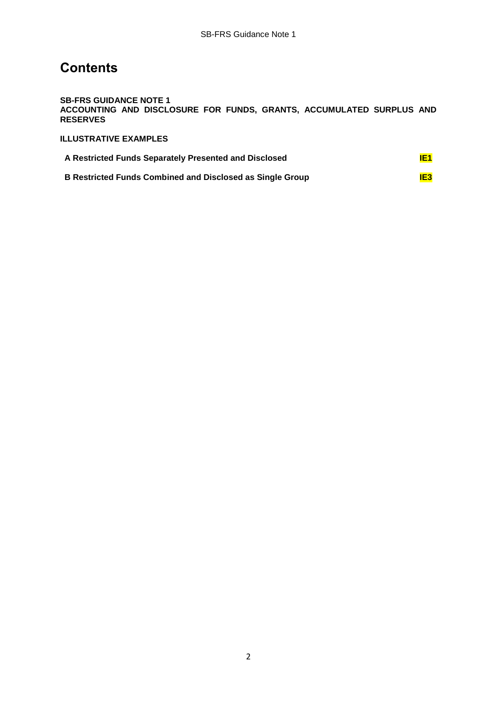## **Contents**

**SB-FRS GUIDANCE NOTE 1 ACCOUNTING AND DISCLOSURE FOR FUNDS, GRANTS, ACCUMULATED SURPLUS AND RESERVES**

**ILLUSTRATIVE EXAMPLES**

| A Restricted Funds Separately Presented and Disclosed     | IE1 |
|-----------------------------------------------------------|-----|
| B Restricted Funds Combined and Disclosed as Single Group | IE3 |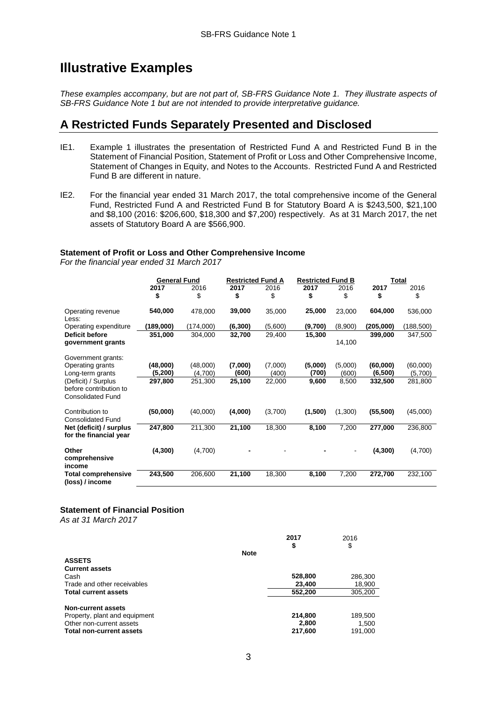## **Illustrative Examples**

*These examples accompany, but are not part of, SB-FRS Guidance Note 1. They illustrate aspects of SB-FRS Guidance Note 1 but are not intended to provide interpretative guidance.* 

### **A Restricted Funds Separately Presented and Disclosed**

- IE1. Example 1 illustrates the presentation of Restricted Fund A and Restricted Fund B in the Statement of Financial Position, Statement of Profit or Loss and Other Comprehensive Income, Statement of Changes in Equity, and Notes to the Accounts. Restricted Fund A and Restricted Fund B are different in nature.
- IE2. For the financial year ended 31 March 2017, the total comprehensive income of the General Fund, Restricted Fund A and Restricted Fund B for Statutory Board A is \$243,500, \$21,100 and \$8,100 (2016: \$206,600, \$18,300 and \$7,200) respectively. As at 31 March 2017, the net assets of Statutory Board A are \$566,900.

#### **Statement of Profit or Loss and Other Comprehensive Income**

*For the financial year ended 31 March 2017*

|                                                    | <b>General Fund</b> |                     | <b>Restricted Fund A</b> |                 | <b>Restricted Fund B</b> |                | <b>Total</b>        |                    |
|----------------------------------------------------|---------------------|---------------------|--------------------------|-----------------|--------------------------|----------------|---------------------|--------------------|
|                                                    | 2017                | 2016                | 2017                     | 2016            | 2017                     | 2016           | 2017                | 2016               |
|                                                    | \$                  | \$                  | \$                       | \$              | \$                       | \$             | \$                  | \$                 |
| Operating revenue<br>Less:                         | 540,000             | 478,000             | 39,000                   | 35,000          | 25,000                   | 23,000         | 604,000             | 536,000            |
| Operating expenditure                              | (189,000)           | (174,000)           | (6, 300)                 | (5,600)         | (9,700)                  | (8,900)        | (205,000)           | (188, 500)         |
| Deficit before                                     | 351,000             | 304,000             | 32,700                   | 29,400          | 15,300                   |                | 399,000             | 347,500            |
| government grants                                  |                     |                     |                          |                 |                          | 14,100         |                     |                    |
|                                                    |                     |                     |                          |                 |                          |                |                     |                    |
| Government grants:                                 |                     |                     |                          |                 |                          |                |                     |                    |
| Operating grants                                   | (48,000)<br>(5,200) | (48,000)<br>(4,700) | (7,000)<br>(600)         | (7,000)         | (5,000)<br>(700)         | (5,000)        | (60,000)<br>(6,500) | (60,000)           |
| Long-term grants<br>(Deficit) / Surplus            | 297,800             | 251,300             | 25,100                   | (400)<br>22,000 | 9,600                    | (600)<br>8,500 | 332,500             | (5,700)<br>281,800 |
| before contribution to<br><b>Consolidated Fund</b> |                     |                     |                          |                 |                          |                |                     |                    |
| Contribution to<br><b>Consolidated Fund</b>        | (50,000)            | (40,000)            | (4,000)                  | (3,700)         | (1,500)                  | (1,300)        | (55, 500)           | (45,000)           |
| Net (deficit) / surplus<br>for the financial year  | 247,800             | 211,300             | 21,100                   | 18,300          | 8,100                    | 7,200          | 277,000             | 236,800            |
| Other<br>comprehensive<br>income                   | (4,300)             | (4,700)             |                          |                 |                          | $\overline{a}$ | (4, 300)            | (4,700)            |
| <b>Total comprehensive</b><br>(loss) / income      | 243,500             | 206,600             | 21,100                   | 18,300          | 8,100                    | 7,200          | 272,700             | 232,100            |

#### **Statement of Financial Position**

*As at 31 March 2017*

|                                                                                                                    |             | 2017<br>\$                  | 2016<br>\$                  |
|--------------------------------------------------------------------------------------------------------------------|-------------|-----------------------------|-----------------------------|
|                                                                                                                    | <b>Note</b> |                             |                             |
| <b>ASSETS</b>                                                                                                      |             |                             |                             |
| <b>Current assets</b>                                                                                              |             |                             |                             |
| Cash                                                                                                               |             | 528,800                     | 286,300                     |
| Trade and other receivables                                                                                        |             | 23,400                      | 18,900                      |
| <b>Total current assets</b>                                                                                        |             | 552,200                     | 305,200                     |
| Non-current assets<br>Property, plant and equipment<br>Other non-current assets<br><b>Total non-current assets</b> |             | 214,800<br>2,800<br>217,600 | 189,500<br>1,500<br>191,000 |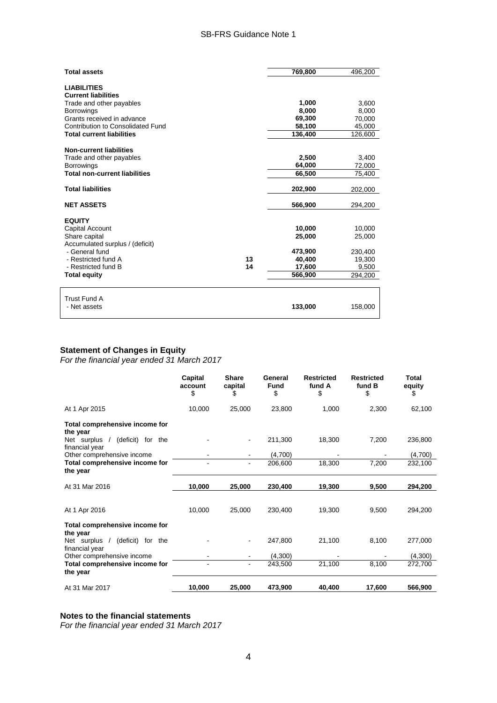#### SB-FRS Guidance Note 1

| <b>Total assets</b>                                                                                                                                                  |    | 769,800                               | 496,200                               |
|----------------------------------------------------------------------------------------------------------------------------------------------------------------------|----|---------------------------------------|---------------------------------------|
| <b>LIABILITIES</b><br><b>Current liabilities</b><br>Trade and other payables<br><b>Borrowings</b><br>Grants received in advance<br>Contribution to Consolidated Fund |    | 1,000<br>8,000<br>69.300<br>58,100    | 3,600<br>8,000<br>70,000<br>45,000    |
| <b>Total current liabilities</b>                                                                                                                                     |    | 136,400                               | 126,600                               |
| <b>Non-current liabilities</b><br>Trade and other payables<br><b>Borrowings</b>                                                                                      |    | 2,500<br>64,000                       | 3,400<br>72,000                       |
| <b>Total non-current liabilities</b>                                                                                                                                 |    | 66,500                                | 75,400                                |
| <b>Total liabilities</b>                                                                                                                                             |    | 202,900                               | 202,000                               |
| <b>NET ASSETS</b>                                                                                                                                                    |    | 566,900                               | 294,200                               |
| <b>EQUITY</b><br>Capital Account<br>Share capital<br>Accumulated surplus / (deficit)<br>- General fund<br>- Restricted fund A                                        | 13 | 10.000<br>25,000<br>473,900<br>40,400 | 10.000<br>25,000<br>230,400<br>19,300 |
| - Restricted fund B                                                                                                                                                  | 14 | 17,600                                | 9,500                                 |
| <b>Total equity</b>                                                                                                                                                  |    | 566,900                               | 294,200                               |
| <b>Trust Fund A</b><br>- Net assets                                                                                                                                  |    | 133,000                               | 158,000                               |

### **Statement of Changes in Equity**

*For the financial year ended 31 March 2017*

|                                                    | Capital<br>account<br>\$ | <b>Share</b><br>capital<br>\$ | General<br><b>Fund</b><br>\$ | <b>Restricted</b><br>fund A<br>\$ | <b>Restricted</b><br>fund B<br>\$ | Total<br>equity<br>\$ |
|----------------------------------------------------|--------------------------|-------------------------------|------------------------------|-----------------------------------|-----------------------------------|-----------------------|
| At 1 Apr 2015                                      | 10,000                   | 25,000                        | 23,800                       | 1,000                             | 2,300                             | 62,100                |
| Total comprehensive income for<br>the year         |                          |                               |                              |                                   |                                   |                       |
| (deficit) for the<br>Net surplus<br>financial year |                          |                               | 211,300                      | 18,300                            | 7,200                             | 236,800               |
| Other comprehensive income                         |                          |                               | (4,700)                      |                                   |                                   | (4,700)               |
| Total comprehensive income for<br>the year         |                          | ۰                             | 206,600                      | 18,300                            | 7,200                             | 232,100               |
| At 31 Mar 2016                                     | 10,000                   | 25,000                        | 230,400                      | 19,300                            | 9,500                             | 294,200               |
| At 1 Apr 2016                                      | 10,000                   | 25,000                        | 230,400                      | 19,300                            | 9,500                             | 294,200               |
| Total comprehensive income for<br>the year         |                          |                               |                              |                                   |                                   |                       |
| Net surplus<br>(deficit) for the<br>financial year |                          |                               | 247,800                      | 21,100                            | 8,100                             | 277,000               |
| Other comprehensive income                         |                          |                               | (4,300)                      |                                   |                                   | (4,300)               |
| Total comprehensive income for<br>the year         |                          | ۰                             | 243,500                      | 21,100                            | 8,100                             | 272,700               |
| At 31 Mar 2017                                     | 10,000                   | 25,000                        | 473,900                      | 40,400                            | 17,600                            | 566,900               |

#### **Notes to the financial statements**

*For the financial year ended 31 March 2017*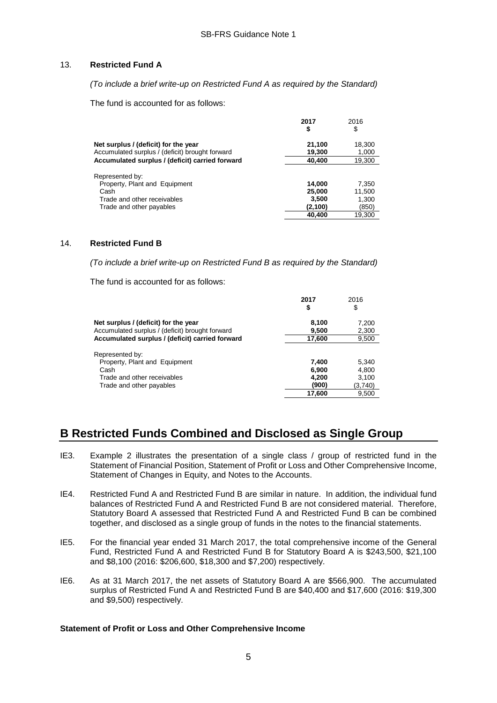#### 13. **Restricted Fund A**

*(To include a brief write-up on Restricted Fund A as required by the Standard)*

The fund is accounted for as follows:

|                                                                                                    | 2017<br>\$       | 2016<br>\$      |
|----------------------------------------------------------------------------------------------------|------------------|-----------------|
| Net surplus / (deficit) for the year                                                               | 21,100           | 18,300          |
| Accumulated surplus / (deficit) brought forward<br>Accumulated surplus / (deficit) carried forward | 19,300<br>40,400 | 1,000<br>19,300 |
| Represented by:                                                                                    |                  |                 |
| Property, Plant and Equipment                                                                      | 14,000           | 7,350           |
| Cash                                                                                               | 25,000           | 11,500          |
| Trade and other receivables                                                                        | 3,500            | 1,300           |
| Trade and other payables                                                                           | (2,100)          | (850)           |
|                                                                                                    | 40,400           | 19.300          |

#### 14. **Restricted Fund B**

*(To include a brief write-up on Restricted Fund B as required by the Standard)*

The fund is accounted for as follows:

|                                                 | 2017<br>\$ | 2016<br>\$ |
|-------------------------------------------------|------------|------------|
| Net surplus / (deficit) for the year            | 8,100      | 7,200      |
| Accumulated surplus / (deficit) brought forward | 9,500      | 2,300      |
| Accumulated surplus / (deficit) carried forward | 17,600     | 9,500      |
| Represented by:                                 |            |            |
| Property, Plant and Equipment                   | 7,400      | 5,340      |
| Cash                                            | 6.900      | 4.800      |
| Trade and other receivables                     | 4,200      | 3.100      |
| Trade and other payables                        | (900)      | (3,740)    |
|                                                 | 17,600     | 9,500      |

## **B Restricted Funds Combined and Disclosed as Single Group**

- IE3. Example 2 illustrates the presentation of a single class / group of restricted fund in the Statement of Financial Position, Statement of Profit or Loss and Other Comprehensive Income, Statement of Changes in Equity, and Notes to the Accounts.
- IE4. Restricted Fund A and Restricted Fund B are similar in nature. In addition, the individual fund balances of Restricted Fund A and Restricted Fund B are not considered material. Therefore, Statutory Board A assessed that Restricted Fund A and Restricted Fund B can be combined together, and disclosed as a single group of funds in the notes to the financial statements.
- IE5. For the financial year ended 31 March 2017, the total comprehensive income of the General Fund, Restricted Fund A and Restricted Fund B for Statutory Board A is \$243,500, \$21,100 and \$8,100 (2016: \$206,600, \$18,300 and \$7,200) respectively.
- IE6. As at 31 March 2017, the net assets of Statutory Board A are \$566,900. The accumulated surplus of Restricted Fund A and Restricted Fund B are \$40,400 and \$17,600 (2016: \$19,300 and \$9,500) respectively.

#### **Statement of Profit or Loss and Other Comprehensive Income**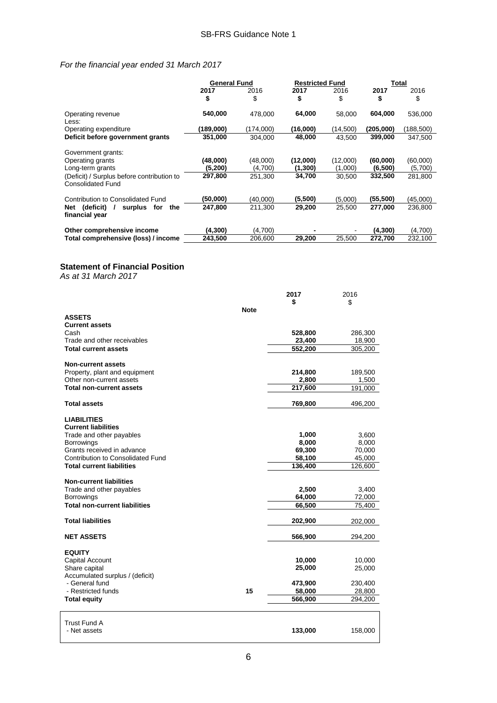#### *For the financial year ended 31 March 2017*

|                                                                        | <b>General Fund</b> |            | <b>Restricted Fund</b> |            | Total      |            |
|------------------------------------------------------------------------|---------------------|------------|------------------------|------------|------------|------------|
|                                                                        | 2017<br>\$          | 2016<br>\$ | 2017<br>\$             | 2016<br>\$ | 2017<br>\$ | 2016<br>S  |
| Operating revenue<br>Less:                                             | 540,000             | 478,000    | 64,000                 | 58,000     | 604,000    | 536,000    |
| Operating expenditure                                                  | (189,000)           | (174.000)  | (16,000)               | (14,500)   | (205,000)  | (188, 500) |
| Deficit before government grants                                       | 351,000             | 304,000    | 48,000                 | 43,500     | 399,000    | 347,500    |
| Government grants:                                                     |                     |            |                        |            |            |            |
| Operating grants                                                       | (48,000)            | (48,000)   | (12,000)               | (12,000)   | (60,000)   | (60,000)   |
| Long-term grants                                                       | (5, 200)            | (4,700)    | (1,300)                | (1,000)    | (6,500)    | (5,700)    |
| (Deficit) / Surplus before contribution to<br><b>Consolidated Fund</b> | 297,800             | 251,300    | 34,700                 | 30,500     | 332,500    | 281,800    |
| Contribution to Consolidated Fund                                      | (50,000)            | (40.000)   | (5,500)                | (5,000)    | (55,500)   | (45,000)   |
| (deficit)<br>surplus<br>Net<br>for<br>the<br>financial year            | 247,800             | 211,300    | 29,200                 | 25,500     | 277,000    | 236,800    |
| Other comprehensive income                                             | (4, 300)            | (4,700)    |                        |            | (4, 300)   | (4,700)    |
| Total comprehensive (loss) / income                                    | 243,500             | 206,600    | 29,200                 | 25,500     | 272,700    | 232,100    |

#### **Statement of Financial Position**

*As at 31 March 2017*

|                                      |             | 2017    | 2016    |
|--------------------------------------|-------------|---------|---------|
|                                      |             | \$      | \$      |
|                                      | <b>Note</b> |         |         |
| <b>ASSETS</b>                        |             |         |         |
| <b>Current assets</b>                |             |         |         |
| Cash                                 |             | 528,800 | 286,300 |
| Trade and other receivables          |             | 23,400  | 18,900  |
| <b>Total current assets</b>          |             | 552,200 | 305,200 |
|                                      |             |         |         |
| <b>Non-current assets</b>            |             |         |         |
| Property, plant and equipment        |             | 214,800 | 189,500 |
| Other non-current assets             |             | 2,800   | 1,500   |
| <b>Total non-current assets</b>      |             | 217,600 | 191,000 |
|                                      |             |         |         |
| <b>Total assets</b>                  |             | 769,800 | 496,200 |
| <b>LIABILITIES</b>                   |             |         |         |
| <b>Current liabilities</b>           |             |         |         |
| Trade and other payables             |             | 1,000   | 3,600   |
| <b>Borrowings</b>                    |             | 8,000   | 8,000   |
| Grants received in advance           |             | 69,300  | 70,000  |
| Contribution to Consolidated Fund    |             | 58,100  | 45,000  |
| <b>Total current liabilities</b>     |             | 136,400 |         |
|                                      |             |         | 126,600 |
| <b>Non-current liabilities</b>       |             |         |         |
| Trade and other payables             |             | 2,500   | 3,400   |
| <b>Borrowings</b>                    |             | 64,000  | 72,000  |
| <b>Total non-current liabilities</b> |             | 66,500  |         |
|                                      |             |         | 75,400  |
| <b>Total liabilities</b>             |             | 202,900 | 202,000 |
|                                      |             |         |         |
| <b>NET ASSETS</b>                    |             | 566,900 | 294,200 |
|                                      |             |         |         |
| <b>EQUITY</b>                        |             |         |         |
| Capital Account                      |             | 10,000  | 10,000  |
| Share capital                        |             | 25,000  | 25,000  |
| Accumulated surplus / (deficit)      |             |         |         |
| - General fund                       |             | 473,900 | 230,400 |
| - Restricted funds                   | 15          | 58,000  | 28,800  |
| <b>Total equity</b>                  |             | 566,900 | 294,200 |
|                                      |             |         |         |
| <b>Trust Fund A</b>                  |             |         |         |
| - Net assets                         |             | 133,000 | 158,000 |
|                                      |             |         |         |
|                                      |             |         |         |